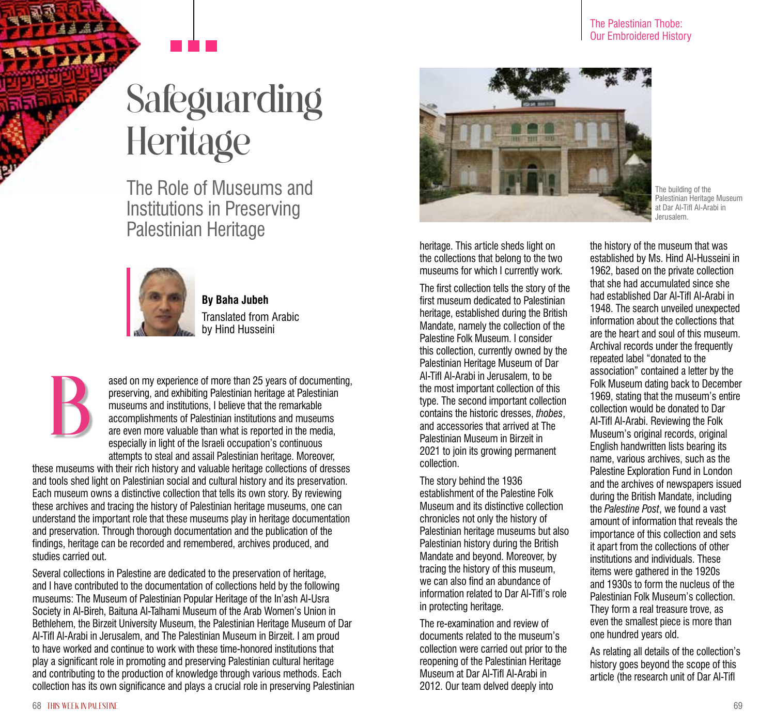# Safeguarding **Heritage**

The Role of Museums and Institutions in Preserving Palestinian Heritage



**By Baha Jubeh** Translated from Arabic by Hind Husseini

B

ased on my experience of more than 25 years of documenting, preserving, and exhibiting Palestinian heritage at Palestinian museums and institutions, I believe that the remarkable accomplishments of Palestinian institutions and museums are even more valuable than what is reported in the media, especially in light of the Israeli occupation's continuous attempts to steal and assail Palestinian heritage. Moreover,

these museums with their rich history and valuable heritage collections of dresses and tools shed light on Palestinian social and cultural history and its preservation. Each museum owns a distinctive collection that tells its own story. By reviewing these archives and tracing the history of Palestinian heritage museums, one can understand the important role that these museums play in heritage documentation and preservation. Through thorough documentation and the publication of the findings, heritage can be recorded and remembered, archives produced, and studies carried out.

Several collections in Palestine are dedicated to the preservation of heritage, and I have contributed to the documentation of collections held by the following museums: The Museum of Palestinian Popular Heritage of the In'ash Al-Usra Society in Al-Bireh, Baituna Al-Talhami Museum of the Arab Women's Union in Bethlehem, the Birzeit University Museum, the Palestinian Heritage Museum of Dar Al-Tifl Al-Arabi in Jerusalem, and The Palestinian Museum in Birzeit. I am proud to have worked and continue to work with these time-honored institutions that play a significant role in promoting and preserving Palestinian cultural heritage and contributing to the production of knowledge through various methods. Each collection has its own significance and plays a crucial role in preserving Palestinian



The building of the Palestinian Heritage Museum at Dar Al-Tifl Al-Arabi in Jerusalem.

heritage. This article sheds light on the collections that belong to the two museums for which I currently work.

The first collection tells the story of the first museum dedicated to Palestinian heritage, established during the British Mandate, namely the collection of the Palestine Folk Museum. I consider this collection, currently owned by the Palestinian Heritage Museum of Dar Al-Tifl Al-Arabi in Jerusalem, to be the most important collection of this type. The second important collection contains the historic dresses, *thobes*, and accessories that arrived at The Palestinian Museum in Birzeit in 2021 to join its growing permanent collection.

The story behind the 1936 establishment of the Palestine Folk Museum and its distinctive collection chronicles not only the history of Palestinian heritage museums but also Palestinian history during the British Mandate and beyond. Moreover, by tracing the history of this museum, we can also find an abundance of information related to Dar Al-Tifl's role in protecting heritage.

The re-examination and review of documents related to the museum's collection were carried out prior to the reopening of the Palestinian Heritage Museum at Dar Al-Tifl Al-Arabi in 2012. Our team delved deeply into

the history of the museum that was established by Ms. Hind Al-Husseini in 1962, based on the private collection that she had accumulated since she had established Dar Al-Tifl Al-Arabi in 1948. The search unveiled unexpected information about the collections that are the heart and soul of this museum. Archival records under the frequently repeated label "donated to the association" contained a letter by the Folk Museum dating back to December 1969, stating that the museum's entire collection would be donated to Dar Al-Tifl Al-Arabi. Reviewing the Folk Museum's original records, original English handwritten lists bearing its name, various archives, such as the Palestine Exploration Fund in London and the archives of newspapers issued during the British Mandate, including the *Palestine Post*, we found a vast amount of information that reveals the importance of this collection and sets it apart from the collections of other institutions and individuals. These items were gathered in the 1920s and 1930s to form the nucleus of the Palestinian Folk Museum's collection. They form a real treasure trove, as even the smallest piece is more than one hundred years old.

As relating all details of the collection's history goes beyond the scope of this article (the research unit of Dar Al-Tifl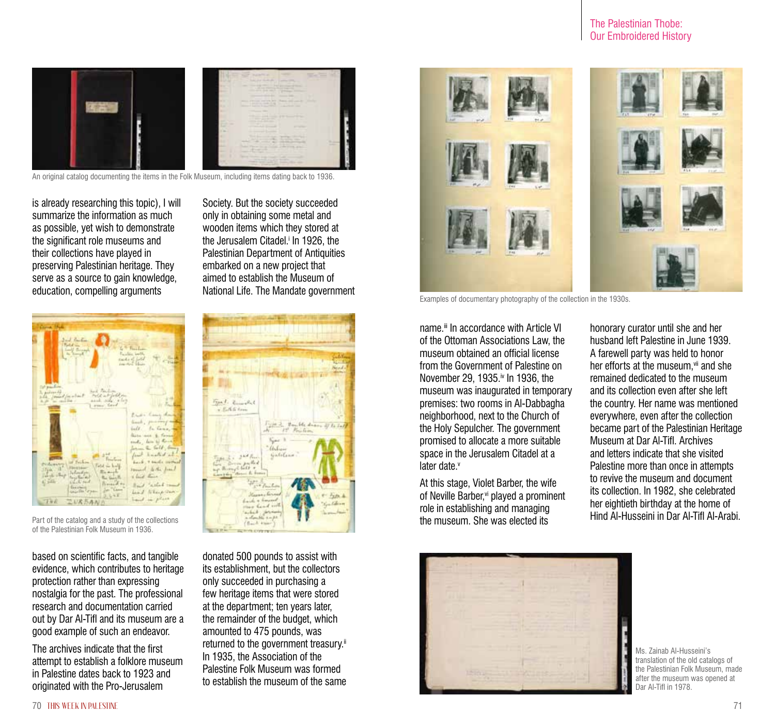## The Palestinian Thobe: Our Embroidered History



An original catalog documenting the items in the Folk Museum, including items dating back to 1936.

is already researching this topic), I will summarize the information as much as possible, yet wish to demonstrate the significant role museums and their collections have played in preserving Palestinian heritage. They serve as a source to gain knowledge, education, compelling arguments

| <b>Come Make</b><br>Jud Bartin<br>Fold in 12<br>L. Fueller<br>$\frac{1-\sqrt{2}}{2\pi}\frac{(\mathcal{E}_{\text{max}})^2}{\sum_{i=1}^{2}\frac{1}{\log X_i}}$<br>Painting Ladie<br>such of Lots<br>$-1144$<br><b>Internet Edison</b>                                                                 |                                                                                                                                                  |
|-----------------------------------------------------------------------------------------------------------------------------------------------------------------------------------------------------------------------------------------------------------------------------------------------------|--------------------------------------------------------------------------------------------------------------------------------------------------|
| list packing<br>have the lives.<br>L. pulsando<br>Police at fold on<br>life. Street for wheel<br>and only view.<br>$\mathbf{A} \cdot \mathbf{A}^{\mathbf{c}} = \mathbf{A} \cdot \mathbf{A} \cdot \mathbf{A}^{\mathbf{c}} \cdot \mathbf{A}^{\mathbf{c}} \cdot \mathbf{A}^{\mathbf{c}}$<br>I can herd | Press Comy Mon<br>limit, painting on                                                                                                             |
| Fristan<br>or Failure<br><b>Profession</b><br>and all half.<br><b>Restaura</b><br>$15a$ .<br>Beauti<br><b>Sulvedge</b><br><b>Carolin Chap</b>                                                                                                                                                       | bell fames<br>Base and & firms<br>sude, his of these<br>Johnson C. Sull, Group<br>first hasted at<br>back, 7 backs cornel<br>round to the June 1 |
| the sent<br>fani far ei d<br>61546 L<br>Carl and<br>Binness of the<br>Guardian<br>Jan Yame<br><b>GALLINE COMM</b><br>0.548<br>TNE<br>こいんかみんか                                                                                                                                                        | Ville there<br>Read which must<br>head to tay and<br>hand in place.                                                                              |

Part of the catalog and a study of the collections of the Palestinian Folk Museum in 1936.

based on scientific facts, and tangible evidence, which contributes to heritage protection rather than expressing nostalgia for the past. The professional research and documentation carried out by Dar Al-Tifl and its museum are a good example of such an endeavor.

The archives indicate that the first attempt to establish a folklore museum in Palestine dates back to 1923 and originated with the Pro-Jerusalem

Society. But the society succeeded only in obtaining some metal and wooden items which they stored at the Jerusalem Citadel.<sup>;</sup> In 1926, the Palestinian Department of Antiquities embarked on a new project that aimed to establish the Museum of National Life. The Mandate government



donated 500 pounds to assist with its establishment, but the collectors only succeeded in purchasing a few heritage items that were stored at the department; ten years later, the remainder of the budget, which amounted to 475 pounds, was returned to the government treasury.<sup>ii</sup> In 1935, the Association of the Palestine Folk Museum was formed to establish the museum of the same



Examples of documentary photography of the collection in the 1930s.

name.<sup>iii</sup> In accordance with Article VI of the Ottoman Associations Law, the museum obtained an official license from the Government of Palestine on November 29, 1935.<sup>iv</sup> In 1936, the museum was inaugurated in temporary premises: two rooms in Al-Dabbagha neighborhood, next to the Church of the Holy Sepulcher. The government promised to allocate a more suitable space in the Jerusalem Citadel at a later date<sup>v</sup>

At this stage, Violet Barber, the wife of Neville Barber,<sup>vi</sup> played a prominent role in establishing and managing the museum. She was elected its

honorary curator until she and her husband left Palestine in June 1939. A farewell party was held to honor her efforts at the museum.<sup>vii</sup> and she remained dedicated to the museum and its collection even after she left the country. Her name was mentioned everywhere, even after the collection became part of the Palestinian Heritage Museum at Dar Al-Tifl. Archives and letters indicate that she visited Palestine more than once in attempts to revive the museum and document its collection. In 1982, she celebrated her eightieth birthday at the home of Hind Al-Husseini in Dar Al-Tifl Al-Arabi.



Ms. Zainab Al-Husseini's translation of the old catalogs of the Palestinian Folk Museum, made after the museum was opened at Dar Al-Tifl in 1978.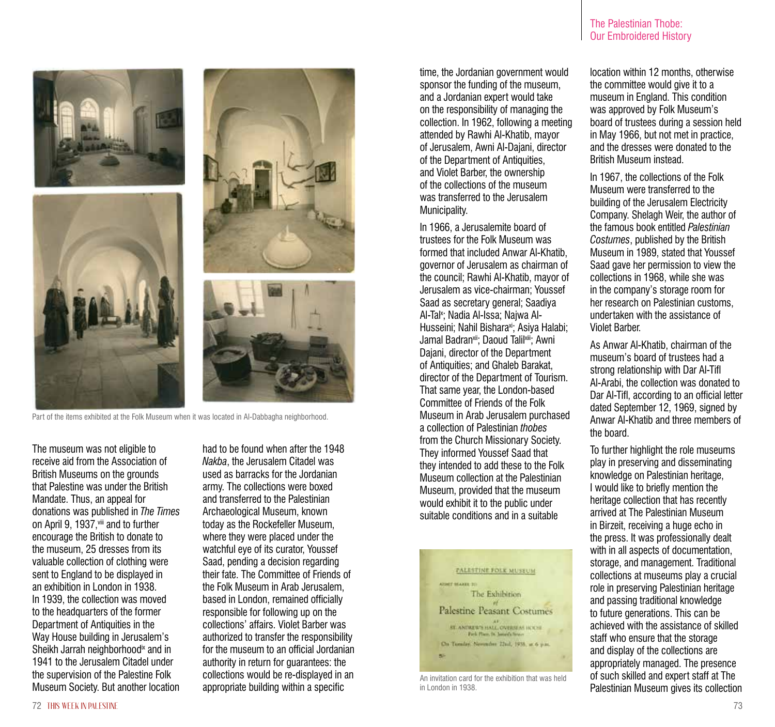

Part of the items exhibited at the Folk Museum when it was located in Al-Dabbagha neighborhood.

The museum was not eligible to receive aid from the Association of British Museums on the grounds that Palestine was under the British Mandate. Thus, an appeal for donations was published in *The Times* on April 9, 1937, viii and to further encourage the British to donate to the museum, 25 dresses from its valuable collection of clothing were sent to England to be displayed in an exhibition in London in 1938. In 1939, the collection was moved to the headquarters of the former Department of Antiquities in the Way House building in Jerusalem's Sheikh Jarrah neighborhood<sup>ix</sup> and in 1941 to the Jerusalem Citadel under the supervision of the Palestine Folk Museum Society. But another location had to be found when after the 1948 *Nakba*, the Jerusalem Citadel was used as barracks for the Jordanian army. The collections were boxed and transferred to the Palestinian Archaeological Museum, known today as the Rockefeller Museum, where they were placed under the watchful eye of its curator, Youssef Saad, pending a decision regarding their fate. The Committee of Friends of the Folk Museum in Arab Jerusalem, based in London, remained officially responsible for following up on the collections' affairs. Violet Barber was authorized to transfer the responsibility for the museum to an official Jordanian authority in return for guarantees: the collections would be re-displayed in an appropriate building within a specific

time, the Jordanian government would sponsor the funding of the museum, and a Jordanian expert would take on the responsibility of managing the collection. In 1962, following a meeting attended by Rawhi Al-Khatib, mayor of Jerusalem, Awni Al-Dajani, director of the Department of Antiquities, and Violet Barber, the ownership of the collections of the museum was transferred to the Jerusalem Municipality.

In 1966, a Jerusalemite board of trustees for the Folk Museum was formed that included Anwar Al-Khatib, governor of Jerusalem as chairman of the council; Rawhi Al-Khatib, mayor of Jerusalem as vice-chairman; Youssef Saad as secretary general; Saadiya Al-Tal×; Nadia Al-Issa; Najwa Al-Husseini; Nahil Bishara<sup>xi</sup>; Asiya Halabi; Jamal Badran<sup>xii</sup>; Daoud Talil<sup>xiii</sup>; Awni Dajani, director of the Department of Antiquities; and Ghaleb Barakat, director of the Department of Tourism. That same year, the London-based Committee of Friends of the Folk Museum in Arab Jerusalem purchased a collection of Palestinian *thobes* from the Church Missionary Society. They informed Youssef Saad that they intended to add these to the Folk Museum collection at the Palestinian Museum, provided that the museum would exhibit it to the public under suitable conditions and in a suitable



An invitation card for the exhibition that was held in London in 1938.

The Palestinian Thobe: Our Embroidered History

location within 12 months, otherwise the committee would give it to a museum in England. This condition was approved by Folk Museum's board of trustees during a session held in May 1966, but not met in practice, and the dresses were donated to the British Museum instead.

In 1967, the collections of the Folk Museum were transferred to the building of the Jerusalem Electricity Company. Shelagh Weir, the author of the famous book entitled *Palestinian Costumes*, published by the British Museum in 1989, stated that Youssef Saad gave her permission to view the collections in 1968, while she was in the company's storage room for her research on Palestinian customs, undertaken with the assistance of Violet Barber.

As Anwar Al-Khatib, chairman of the museum's board of trustees had a strong relationship with Dar Al-Tifl Al-Arabi, the collection was donated to Dar Al-Tifl, according to an official letter dated September 12, 1969, signed by Anwar Al-Khatib and three members of the board.

To further highlight the role museums play in preserving and disseminating knowledge on Palestinian heritage, I would like to briefly mention the heritage collection that has recently arrived at The Palestinian Museum in Birzeit, receiving a huge echo in the press. It was professionally dealt with in all aspects of documentation, storage, and management. Traditional collections at museums play a crucial role in preserving Palestinian heritage and passing traditional knowledge to future generations. This can be achieved with the assistance of skilled staff who ensure that the storage and display of the collections are appropriately managed. The presence of such skilled and expert staff at The Palestinian Museum gives its collection